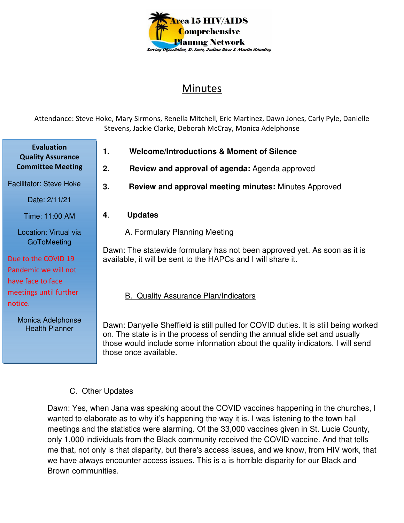

## Minutes

Attendance: Steve Hoke, Mary Sirmons, Renella Mitchell, Eric Martinez, Dawn Jones, Carly Pyle, Danielle Stevens, Jackie Clarke, Deborah McCray, Monica Adelphonse

**1. Welcome/Introductions & Moment of Silence** 

- **2. Review and approval of agenda:** Agenda approved
- Facilitator: Steve Hoke

**Evaluation Quality Assurance Committee Meeting**

Date: 2/11/21

- Time: 11:00 AM
- Location: Virtual via **GoToMeeting**

## Due to the COVID 19 Pandemic we will not

have face to face meetings until further notice.

> Monica Adelphonse Health Planner

- 
- **3. Review and approval meeting minutes:** Minutes Approved
- **4**. **Updates**

A. Formulary Planning Meeting

Dawn: The statewide formulary has not been approved yet. As soon as it is available, it will be sent to the HAPCs and I will share it.

B. Quality Assurance Plan/Indicators

Dawn: Danyelle Sheffield is still pulled for COVID duties. It is still being worked on. The state is in the process of sending the annual slide set and usually those would include some information about the quality indicators. I will send those once available.

## C. Other Updates

Dawn: Yes, when Jana was speaking about the COVID vaccines happening in the churches, I wanted to elaborate as to why it's happening the way it is. I was listening to the town hall meetings and the statistics were alarming. Of the 33,000 vaccines given in St. Lucie County, only 1,000 individuals from the Black community received the COVID vaccine. And that tells me that, not only is that disparity, but there's access issues, and we know, from HIV work, that we have always encounter access issues. This is a is horrible disparity for our Black and Brown communities.